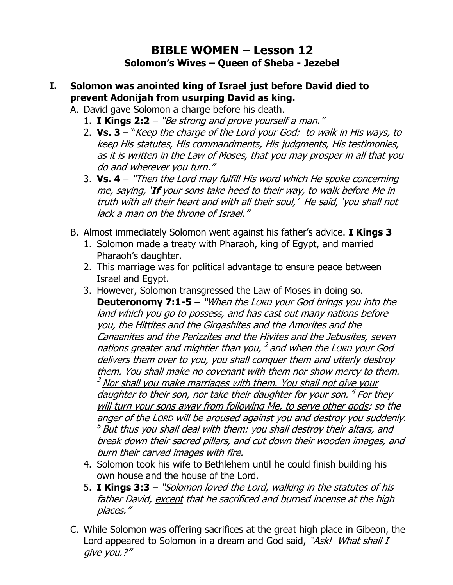# **BIBLE WOMEN – Lesson 12 Solomon's Wives – Queen of Sheba - Jezebel**

#### **I. Solomon was anointed king of Israel just before David died to prevent Adonijah from usurping David as king.**

- A. David gave Solomon a charge before his death.
	- 1. **I Kings 2:2** "Be strong and prove yourself a man."
	- 2. **Vs. 3**  "Keep the charge of the Lord your God: to walk in His ways, to keep His statutes, His commandments, His judgments, His testimonies, as it is written in the Law of Moses, that you may prosper in all that you do and wherever you turn."
	- 3. **Vs. 4** "Then the Lord may fulfill His word which He spoke concerning me, saying, '**If** your sons take heed to their way, to walk before Me in truth with all their heart and with all their soul,' He said, 'you shall not lack a man on the throne of Israel."
- B. Almost immediately Solomon went against his father's advice. **I Kings 3**
	- 1. Solomon made a treaty with Pharaoh, king of Egypt, and married Pharaoh's daughter.
	- 2. This marriage was for political advantage to ensure peace between Israel and Egypt.
	- 3. However, Solomon transgressed the Law of Moses in doing so. **Deuteronomy 7:1-5** – "When the LORD your God brings you into the land which you go to possess, and has cast out many nations before you, the Hittites and the Girgashites and the Amorites and the Canaanites and the Perizzites and the Hivites and the Jebusites, seven nations greater and mightier than you, <sup>2</sup> and when the LORD your God delivers them over to you, you shall conquer them and utterly destroy them. You shall make no covenant with them nor show mercy to them.  $3$  Nor shall you make marriages with them. You shall not give your daughter to their son, nor take their daughter for your son. <sup>4</sup> For they will turn your sons away from following Me, to serve other gods; so the anger of the LORD will be aroused against you and destroy you suddenly.  $^5$  But thus you shall deal with them: you shall destroy their altars, and break down their sacred pillars, and cut down their wooden images, and burn their carved images with fire.
	- 4. Solomon took his wife to Bethlehem until he could finish building his own house and the house of the Lord.
	- 5. **I Kings 3:3** "Solomon loved the Lord, walking in the statutes of his father David, except that he sacrificed and burned incense at the high places."
- C. While Solomon was offering sacrifices at the great high place in Gibeon, the Lord appeared to Solomon in a dream and God said, "Ask! What shall I give you.?"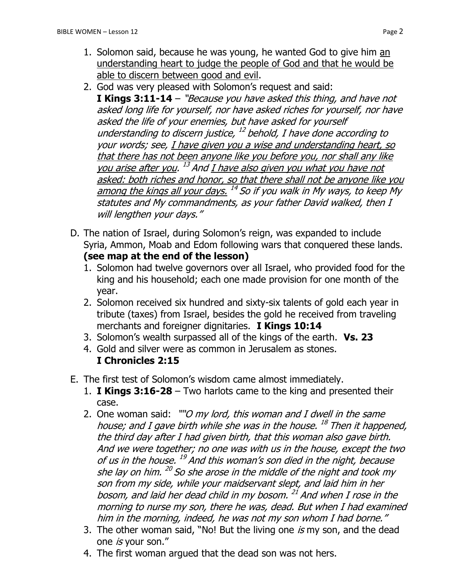- 1. Solomon said, because he was young, he wanted God to give him an understanding heart to judge the people of God and that he would be able to discern between good and evil.
- 2. God was very pleased with Solomon's request and said: **I Kings 3:11-14** – "Because you have asked this thing, and have not asked long life for yourself, nor have asked riches for yourself, nor have asked the life of your enemies, but have asked for yourself understanding to discern justice, <sup>12</sup> behold, I have done according to your words; see, I have given you a wise and understanding heart, so that there has not been anyone like you before you, nor shall any like you arise after you. <sup>13</sup> And <u>I have also given you what you have not</u> asked: both riches and honor, so that there shall not be anyone like you among the kings all your days. <sup>14</sup> So if you walk in My ways, to keep My statutes and My commandments, as your father David walked, then I will lengthen your days."
- D. The nation of Israel, during Solomon's reign, was expanded to include Syria, Ammon, Moab and Edom following wars that conquered these lands. **(see map at the end of the lesson)**
	- 1. Solomon had twelve governors over all Israel, who provided food for the king and his household; each one made provision for one month of the year.
	- 2. Solomon received six hundred and sixty-six talents of gold each year in tribute (taxes) from Israel, besides the gold he received from traveling merchants and foreigner dignitaries. **I Kings 10:14**
	- 3. Solomon's wealth surpassed all of the kings of the earth. **Vs. 23**
	- 4. Gold and silver were as common in Jerusalem as stones. **I Chronicles 2:15**
- E. The first test of Solomon's wisdom came almost immediately.
	- 1. **I Kings 3:16-28**  Two harlots came to the king and presented their case.
	- 2. One woman said: ""O my lord, this woman and I dwell in the same house; and I gave birth while she was in the house. <sup>18</sup> Then it happened, the third day after I had given birth, that this woman also gave birth. And we were together; no one was with us in the house, except the two of us in the house. <sup>19</sup> And this woman's son died in the night, because she lay on him. <sup>20</sup> So she arose in the middle of the night and took my son from my side, while your maidservant slept, and laid him in her bosom, and laid her dead child in my bosom. <sup>21</sup> And when I rose in the morning to nurse my son, there he was, dead. But when I had examined him in the morning, indeed, he was not my son whom I had borne."
	- 3. The other woman said, "No! But the living one is my son, and the dead one is your son."
	- 4. The first woman argued that the dead son was not hers.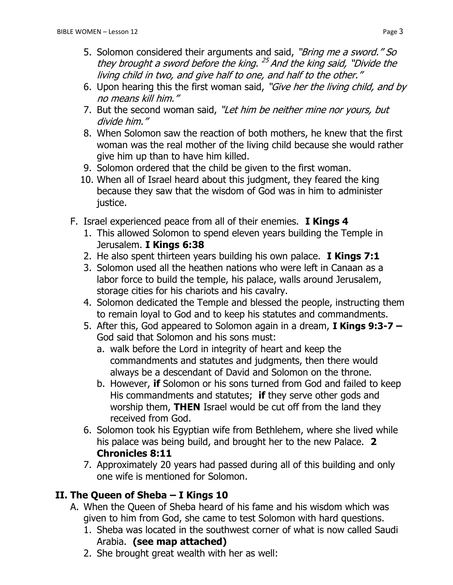- 5. Solomon considered their arguments and said, "Bring me a sword." So they brought a sword before the king. <sup>25</sup> And the king said, "Divide the living child in two, and give half to one, and half to the other."
- 6. Upon hearing this the first woman said, "Give her the living child, and by no means kill him."
- 7. But the second woman said, "Let him be neither mine nor yours, but divide him."
- 8. When Solomon saw the reaction of both mothers, he knew that the first woman was the real mother of the living child because she would rather give him up than to have him killed.
- 9. Solomon ordered that the child be given to the first woman.
- 10. When all of Israel heard about this judgment, they feared the king because they saw that the wisdom of God was in him to administer justice.
- F. Israel experienced peace from all of their enemies. **I Kings 4**
	- 1. This allowed Solomon to spend eleven years building the Temple in Jerusalem. **I Kings 6:38**
	- 2. He also spent thirteen years building his own palace. **I Kings 7:1**
	- 3. Solomon used all the heathen nations who were left in Canaan as a labor force to build the temple, his palace, walls around Jerusalem, storage cities for his chariots and his cavalry.
	- 4. Solomon dedicated the Temple and blessed the people, instructing them to remain loyal to God and to keep his statutes and commandments.
	- 5. After this, God appeared to Solomon again in a dream, **I Kings 9:3-7 –** God said that Solomon and his sons must:
		- a. walk before the Lord in integrity of heart and keep the commandments and statutes and judgments, then there would always be a descendant of David and Solomon on the throne.
		- b. However, **if** Solomon or his sons turned from God and failed to keep His commandments and statutes; **if** they serve other gods and worship them, **THEN** Israel would be cut off from the land they received from God.
	- 6. Solomon took his Egyptian wife from Bethlehem, where she lived while his palace was being build, and brought her to the new Palace. **2 Chronicles 8:11**
	- 7. Approximately 20 years had passed during all of this building and only one wife is mentioned for Solomon.

# **II. The Queen of Sheba – I Kings 10**

- A. When the Queen of Sheba heard of his fame and his wisdom which was given to him from God, she came to test Solomon with hard questions.
	- 1. Sheba was located in the southwest corner of what is now called Saudi Arabia. **(see map attached)**
	- 2. She brought great wealth with her as well: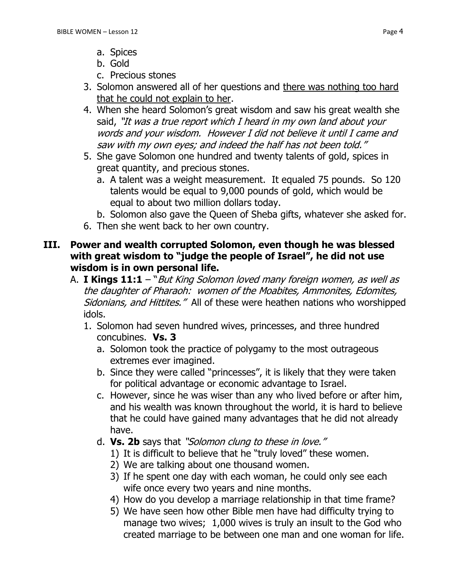- a. Spices
- b. Gold
- c. Precious stones
- 3. Solomon answered all of her questions and there was nothing too hard that he could not explain to her.
- 4. When she heard Solomon's great wisdom and saw his great wealth she said, "It was a true report which I heard in my own land about your words and your wisdom. However I did not believe it until I came and saw with my own eyes; and indeed the half has not been told."
- 5. She gave Solomon one hundred and twenty talents of gold, spices in great quantity, and precious stones.
	- a. A talent was a weight measurement. It equaled 75 pounds. So 120 talents would be equal to 9,000 pounds of gold, which would be equal to about two million dollars today.
	- b. Solomon also gave the Queen of Sheba gifts, whatever she asked for.
- 6. Then she went back to her own country.

#### **III. Power and wealth corrupted Solomon, even though he was blessed with great wisdom to "judge the people of Israel", he did not use wisdom is in own personal life.**

- A. **I Kings 11:1** "But King Solomon loved many foreign women, as well as the daughter of Pharaoh: women of the Moabites, Ammonites, Edomites, Sidonians, and Hittites." All of these were heathen nations who worshipped idols.
	- 1. Solomon had seven hundred wives, princesses, and three hundred concubines. **Vs. 3**
		- a. Solomon took the practice of polygamy to the most outrageous extremes ever imagined.
		- b. Since they were called "princesses", it is likely that they were taken for political advantage or economic advantage to Israel.
		- c. However, since he was wiser than any who lived before or after him, and his wealth was known throughout the world, it is hard to believe that he could have gained many advantages that he did not already have.
		- d. **Vs. 2b** says that "Solomon clung to these in love."
			- 1) It is difficult to believe that he "truly loved" these women.
			- 2) We are talking about one thousand women.
			- 3) If he spent one day with each woman, he could only see each wife once every two years and nine months.
			- 4) How do you develop a marriage relationship in that time frame?
			- 5) We have seen how other Bible men have had difficulty trying to manage two wives; 1,000 wives is truly an insult to the God who created marriage to be between one man and one woman for life.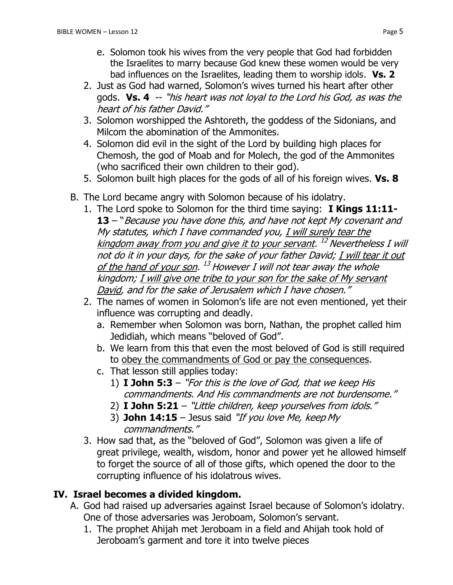- e. Solomon took his wives from the very people that God had forbidden the Israelites to marry because God knew these women would be very bad influences on the Israelites, leading them to worship idols. **Vs. 2**
- 2. Just as God had warned, Solomon's wives turned his heart after other gods. **Vs. 4** -- "his heart was not loyal to the Lord his God, as was the heart of his father David."
- 3. Solomon worshipped the Ashtoreth, the goddess of the Sidonians, and Milcom the abomination of the Ammonites.
- 4. Solomon did evil in the sight of the Lord by building high places for Chemosh, the god of Moab and for Molech, the god of the Ammonites (who sacrificed their own children to their god).
- 5. Solomon built high places for the gods of all of his foreign wives. **Vs. 8**
- B. The Lord became angry with Solomon because of his idolatry.
	- 1. The Lord spoke to Solomon for the third time saying: **I Kings 11:11- 13** – "Because you have done this, and have not kept My covenant and My statutes, which I have commanded you, I will surely tear the kingdom away from you and give it to your servant. <sup>12</sup> Nevertheless I will not do it in your days, for the sake of your father David; I will tear it out <u>of the hand of your son</u>. <sup>13</sup> However I will not tear away the whole kingdom; I will give one tribe to your son for the sake of My servant David, and for the sake of Jerusalem which I have chosen."
	- 2. The names of women in Solomon's life are not even mentioned, yet their influence was corrupting and deadly.
		- a. Remember when Solomon was born, Nathan, the prophet called him Jedidiah, which means "beloved of God".
		- b. We learn from this that even the most beloved of God is still required to obey the commandments of God or pay the consequences.
		- c. That lesson still applies today:
			- 1) **I John 5:3** "For this is the love of God, that we keep His commandments. And His commandments are not burdensome."
			- 2) **I John 5:21**  "Little children, keep yourselves from idols."
			- 3) **John 14:15**  Jesus said "If you love Me, keep My commandments."
	- 3. How sad that, as the "beloved of God", Solomon was given a life of great privilege, wealth, wisdom, honor and power yet he allowed himself to forget the source of all of those gifts, which opened the door to the corrupting influence of his idolatrous wives.

## **IV. Israel becomes a divided kingdom.**

- A. God had raised up adversaries against Israel because of Solomon's idolatry. One of those adversaries was Jeroboam, Solomon's servant.
	- 1. The prophet Ahijah met Jeroboam in a field and Ahijah took hold of Jeroboam's garment and tore it into twelve pieces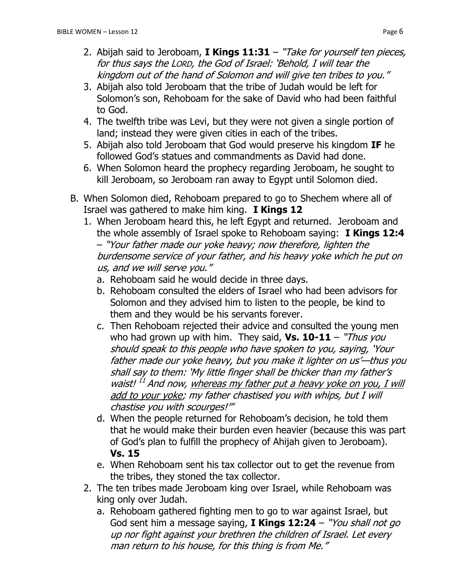- 3. Abijah also told Jeroboam that the tribe of Judah would be left for Solomon's son, Rehoboam for the sake of David who had been faithful to God.
- 4. The twelfth tribe was Levi, but they were not given a single portion of land; instead they were given cities in each of the tribes.
- 5. Abijah also told Jeroboam that God would preserve his kingdom **IF** he followed God's statues and commandments as David had done.
- 6. When Solomon heard the prophecy regarding Jeroboam, he sought to kill Jeroboam, so Jeroboam ran away to Egypt until Solomon died.
- B. When Solomon died, Rehoboam prepared to go to Shechem where all of Israel was gathered to make him king. **I Kings 12** 
	- 1. When Jeroboam heard this, he left Egypt and returned. Jeroboam and the whole assembly of Israel spoke to Rehoboam saying: **I Kings 12:4** – "Your father made our yoke heavy; now therefore, lighten the burdensome service of your father, and his heavy yoke which he put on us, and we will serve you."
		- a. Rehoboam said he would decide in three days.
		- b. Rehoboam consulted the elders of Israel who had been advisors for Solomon and they advised him to listen to the people, be kind to them and they would be his servants forever.
		- c. Then Rehoboam rejected their advice and consulted the young men who had grown up with him. They said, **Vs. 10-11** – "Thus you should speak to this people who have spoken to you, saying, 'Your father made our yoke heavy, but you make it lighter on us'—thus you shall say to them: 'My little finger shall be thicker than my father's waist!<sup>11</sup> And now, whereas my father put a heavy yoke on you, I will add to your yoke; my father chastised you with whips, but I will chastise you with scourges!'"
		- d. When the people returned for Rehoboam's decision, he told them that he would make their burden even heavier (because this was part of God's plan to fulfill the prophecy of Ahijah given to Jeroboam). **Vs. 15**
		- e. When Rehoboam sent his tax collector out to get the revenue from the tribes, they stoned the tax collector.
	- 2. The ten tribes made Jeroboam king over Israel, while Rehoboam was king only over Judah.
		- a. Rehoboam gathered fighting men to go to war against Israel, but God sent him a message saying, **I Kings 12:24** – "You shall not go up nor fight against your brethren the children of Israel. Let every man return to his house, for this thing is from Me."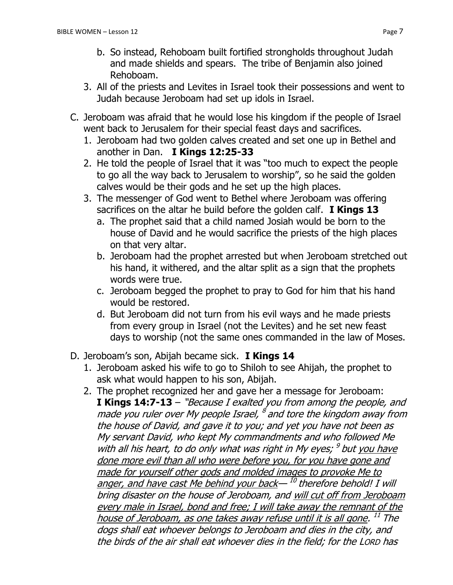- b. So instead, Rehoboam built fortified strongholds throughout Judah and made shields and spears. The tribe of Benjamin also joined Rehoboam.
- 3. All of the priests and Levites in Israel took their possessions and went to Judah because Jeroboam had set up idols in Israel.
- C. Jeroboam was afraid that he would lose his kingdom if the people of Israel went back to Jerusalem for their special feast days and sacrifices.
	- 1. Jeroboam had two golden calves created and set one up in Bethel and another in Dan. **I Kings 12:25-33**
	- 2. He told the people of Israel that it was "too much to expect the people to go all the way back to Jerusalem to worship", so he said the golden calves would be their gods and he set up the high places.
	- 3. The messenger of God went to Bethel where Jeroboam was offering sacrifices on the altar he build before the golden calf. **I Kings 13**
		- a. The prophet said that a child named Josiah would be born to the house of David and he would sacrifice the priests of the high places on that very altar.
		- b. Jeroboam had the prophet arrested but when Jeroboam stretched out his hand, it withered, and the altar split as a sign that the prophets words were true.
		- c. Jeroboam begged the prophet to pray to God for him that his hand would be restored.
		- d. But Jeroboam did not turn from his evil ways and he made priests from every group in Israel (not the Levites) and he set new feast days to worship (not the same ones commanded in the law of Moses.
- D. Jeroboam's son, Abijah became sick. **I Kings 14**
	- 1. Jeroboam asked his wife to go to Shiloh to see Ahijah, the prophet to ask what would happen to his son, Abijah.
	- 2. The prophet recognized her and gave her a message for Jeroboam: **I Kings 14:7-13** – "Because I exalted you from among the people, and made you ruler over My people Israel, <sup>8</sup> and tore the kingdom away from the house of David, and gave it to you; and yet you have not been as My servant David, who kept My commandments and who followed Me with all his heart, to do only what was right in My eyes; <sup>9</sup> but <u>you have</u> done more evil than all who were before you, for you have gone and made for yourself other gods and molded images to provoke Me to anger, and have cast Me behind your back— <sup>10</sup> therefore behold! I will bring disaster on the house of Jeroboam, and will cut off from Jeroboam every male in Israel, bond and free; I will take away the remnant of the house of Jeroboam, as one takes away refuse until it is all gone. <sup>11</sup> The dogs shall eat whoever belongs to Jeroboam and dies in the city, and the birds of the air shall eat whoever dies in the field; for the LORD has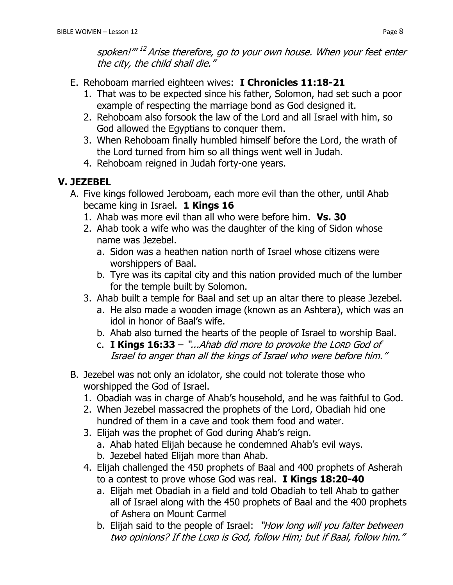spoken!"" <sup>12</sup> Arise therefore, go to your own house. When your feet enter the city, the child shall die."

- E. Rehoboam married eighteen wives: **I Chronicles 11:18-21**
	- 1. That was to be expected since his father, Solomon, had set such a poor example of respecting the marriage bond as God designed it.
	- 2. Rehoboam also forsook the law of the Lord and all Israel with him, so God allowed the Egyptians to conquer them.
	- 3. When Rehoboam finally humbled himself before the Lord, the wrath of the Lord turned from him so all things went well in Judah.
	- 4. Rehoboam reigned in Judah forty-one years.

# **V. JEZEBEL**

- A. Five kings followed Jeroboam, each more evil than the other, until Ahab became king in Israel. **1 Kings 16**
	- 1. Ahab was more evil than all who were before him. **Vs. 30**
	- 2. Ahab took a wife who was the daughter of the king of Sidon whose name was Jezebel.
		- a. Sidon was a heathen nation north of Israel whose citizens were worshippers of Baal.
		- b. Tyre was its capital city and this nation provided much of the lumber for the temple built by Solomon.
	- 3. Ahab built a temple for Baal and set up an altar there to please Jezebel.
		- a. He also made a wooden image (known as an Ashtera), which was an idol in honor of Baal's wife.
		- b. Ahab also turned the hearts of the people of Israel to worship Baal.
		- c. **I Kings 16:33** "...Ahab did more to provoke the LORD God of Israel to anger than all the kings of Israel who were before him."
- B. Jezebel was not only an idolator, she could not tolerate those who worshipped the God of Israel.
	- 1. Obadiah was in charge of Ahab's household, and he was faithful to God.
	- 2. When Jezebel massacred the prophets of the Lord, Obadiah hid one hundred of them in a cave and took them food and water.
	- 3. Elijah was the prophet of God during Ahab's reign.
		- a. Ahab hated Elijah because he condemned Ahab's evil ways.
		- b. Jezebel hated Elijah more than Ahab.
	- 4. Elijah challenged the 450 prophets of Baal and 400 prophets of Asherah to a contest to prove whose God was real. **I Kings 18:20-40**
		- a. Elijah met Obadiah in a field and told Obadiah to tell Ahab to gather all of Israel along with the 450 prophets of Baal and the 400 prophets of Ashera on Mount Carmel
		- b. Elijah said to the people of Israel: "How long will you falter between two opinions? If the LORD is God, follow Him; but if Baal, follow him."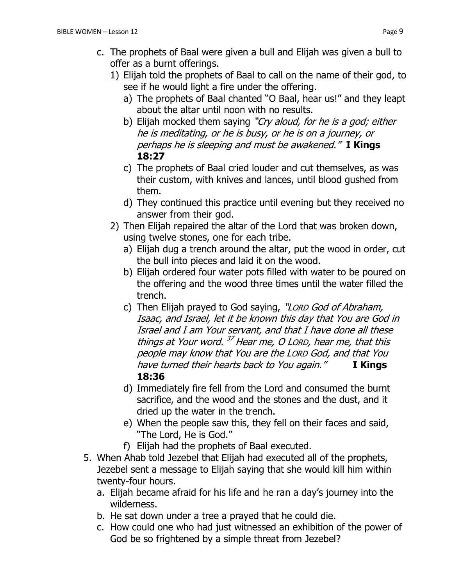- 1) Elijah told the prophets of Baal to call on the name of their god, to see if he would light a fire under the offering.
	- a) The prophets of Baal chanted "O Baal, hear us!" and they leapt about the altar until noon with no results.
	- b) Elijah mocked them saying "Cry aloud, for he is a god; either he is meditating, or he is busy, or he is on a journey, or perhaps he is sleeping and must be awakened." **I Kings 18:27**
	- c) The prophets of Baal cried louder and cut themselves, as was their custom, with knives and lances, until blood gushed from them.
	- d) They continued this practice until evening but they received no answer from their god.
- 2) Then Elijah repaired the altar of the Lord that was broken down, using twelve stones, one for each tribe.
	- a) Elijah dug a trench around the altar, put the wood in order, cut the bull into pieces and laid it on the wood.
	- b) Elijah ordered four water pots filled with water to be poured on the offering and the wood three times until the water filled the trench.
	- c) Then Elijah prayed to God saying, "LORD God of Abraham, Isaac, and Israel, let it be known this day that You are God in Israel and I am Your servant, and that I have done all these things at Your word. <sup>37</sup> Hear me, O Lorp, hear me, that this people may know that You are the LORD God, and that You have turned their hearts back to You again." **I Kings 18:36**
	- d) Immediately fire fell from the Lord and consumed the burnt sacrifice, and the wood and the stones and the dust, and it dried up the water in the trench.
	- e) When the people saw this, they fell on their faces and said, "The Lord, He is God."
	- f) Elijah had the prophets of Baal executed.
- 5. When Ahab told Jezebel that Elijah had executed all of the prophets, Jezebel sent a message to Elijah saying that she would kill him within twenty-four hours.
	- a. Elijah became afraid for his life and he ran a day's journey into the wilderness.
	- b. He sat down under a tree a prayed that he could die.
	- c. How could one who had just witnessed an exhibition of the power of God be so frightened by a simple threat from Jezebel?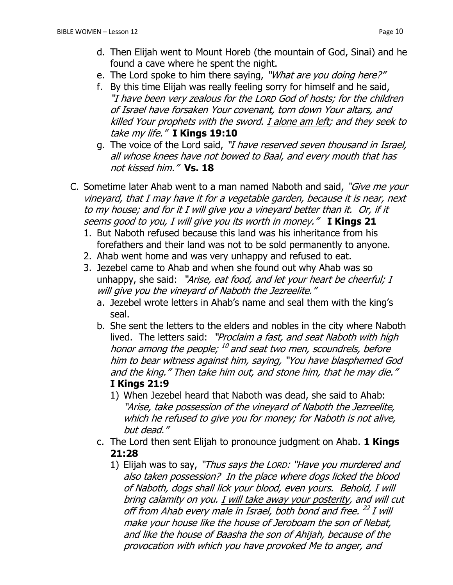- d. Then Elijah went to Mount Horeb (the mountain of God, Sinai) and he found a cave where he spent the night.
- e. The Lord spoke to him there saying, "What are you doing here?"
- f. By this time Elijah was really feeling sorry for himself and he said, "I have been very zealous for the LORD God of hosts; for the children of Israel have forsaken Your covenant, torn down Your altars, and killed Your prophets with the sword. I alone am left; and they seek to take my life." **I Kings 19:10**
- g. The voice of the Lord said, "I have reserved seven thousand in Israel, all whose knees have not bowed to Baal, and every mouth that has not kissed him." **Vs. 18**
- C. Sometime later Ahab went to a man named Naboth and said, "Give me your vineyard, that I may have it for a vegetable garden, because it is near, next to my house; and for it I will give you a vineyard better than it. Or, if it seems good to you, I will give you its worth in money." **I Kings 21** 
	- 1. But Naboth refused because this land was his inheritance from his forefathers and their land was not to be sold permanently to anyone.
	- 2. Ahab went home and was very unhappy and refused to eat.
	- 3. Jezebel came to Ahab and when she found out why Ahab was so unhappy, she said: "Arise, eat food, and let your heart be cheerful; I will give you the vineyard of Naboth the Jezreelite."
		- a. Jezebel wrote letters in Ahab's name and seal them with the king's seal.
		- b. She sent the letters to the elders and nobles in the city where Naboth lived. The letters said: "Proclaim a fast, and seat Naboth with high honor among the people; <sup>10</sup> and seat two men, scoundrels, before him to bear witness against him, saying, "You have blasphemed God and the king." Then take him out, and stone him, that he may die."
			- **I Kings 21:9**
			- 1) When Jezebel heard that Naboth was dead, she said to Ahab: "Arise, take possession of the vineyard of Naboth the Jezreelite, which he refused to give you for money; for Naboth is not alive, but dead."
		- c. The Lord then sent Elijah to pronounce judgment on Ahab. **1 Kings 21:28**
			- 1) Elijah was to say, "Thus says the LORD: "Have you murdered and also taken possession? In the place where dogs licked the blood of Naboth, dogs shall lick your blood, even yours. Behold, I will bring calamity on you. I will take away your posterity, and will cut off from Ahab every male in Israel, both bond and free. <sup>22</sup> I will make your house like the house of Jeroboam the son of Nebat, and like the house of Baasha the son of Ahijah, because of the provocation with which you have provoked Me to anger, and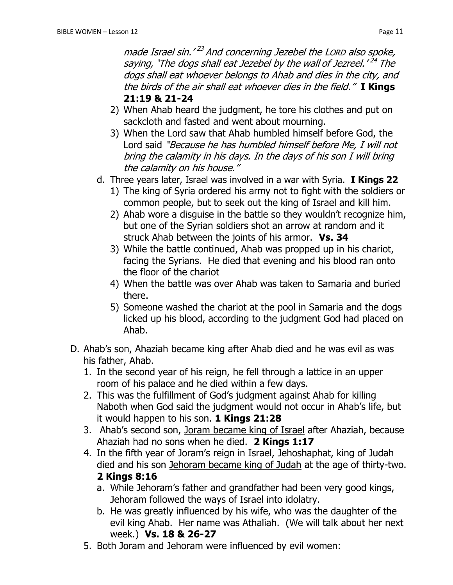made Israel sin.'<sup>23</sup> And concerning Jezebel the Lorp also spoke, saying, `<u>The dogs shall eat Jezebel by the wall of Jezreel.' <sup>24</sup> The</u> dogs shall eat whoever belongs to Ahab and dies in the city, and the birds of the air shall eat whoever dies in the field." **I Kings 21:19 & 21-24**

- 2) When Ahab heard the judgment, he tore his clothes and put on sackcloth and fasted and went about mourning.
- 3) When the Lord saw that Ahab humbled himself before God, the Lord said "Because he has humbled himself before Me, I will not bring the calamity in his days. In the days of his son I will bring the calamity on his house."
- d. Three years later, Israel was involved in a war with Syria. **I Kings 22**
	- 1) The king of Syria ordered his army not to fight with the soldiers or common people, but to seek out the king of Israel and kill him.
	- 2) Ahab wore a disguise in the battle so they wouldn't recognize him, but one of the Syrian soldiers shot an arrow at random and it struck Ahab between the joints of his armor. **Vs. 34**
	- 3) While the battle continued, Ahab was propped up in his chariot, facing the Syrians. He died that evening and his blood ran onto the floor of the chariot
	- 4) When the battle was over Ahab was taken to Samaria and buried there.
	- 5) Someone washed the chariot at the pool in Samaria and the dogs licked up his blood, according to the judgment God had placed on Ahab.
- D. Ahab's son, Ahaziah became king after Ahab died and he was evil as was his father, Ahab.
	- 1. In the second year of his reign, he fell through a lattice in an upper room of his palace and he died within a few days.
	- 2. This was the fulfillment of God's judgment against Ahab for killing Naboth when God said the judgment would not occur in Ahab's life, but it would happen to his son. **1 Kings 21:28**
	- 3. Ahab's second son, Joram became king of Israel after Ahaziah, because Ahaziah had no sons when he died. **2 Kings 1:17**
	- 4. In the fifth year of Joram's reign in Israel, Jehoshaphat, king of Judah died and his son Jehoram became king of Judah at the age of thirty-two. **2 Kings 8:16**
		- a. While Jehoram's father and grandfather had been very good kings, Jehoram followed the ways of Israel into idolatry.
		- b. He was greatly influenced by his wife, who was the daughter of the evil king Ahab. Her name was Athaliah. (We will talk about her next week.) **Vs. 18 & 26-27**
	- 5. Both Joram and Jehoram were influenced by evil women: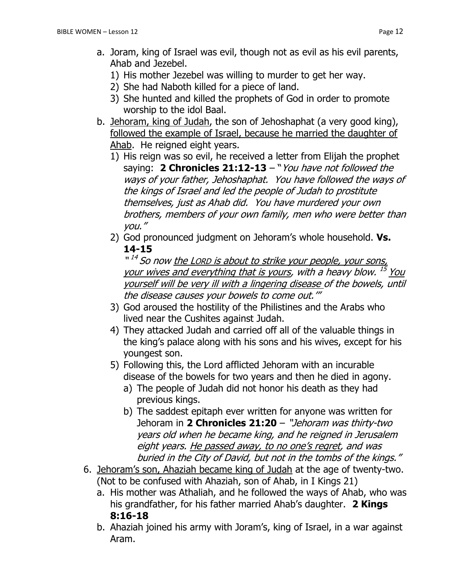- a. Joram, king of Israel was evil, though not as evil as his evil parents, Ahab and Jezebel.
	- 1) His mother Jezebel was willing to murder to get her way.
	- 2) She had Naboth killed for a piece of land.
	- 3) She hunted and killed the prophets of God in order to promote worship to the idol Baal.
- b. Jehoram, king of Judah, the son of Jehoshaphat (a very good king), followed the example of Israel, because he married the daughter of Ahab. He reigned eight years.
	- 1) His reign was so evil, he received a letter from Elijah the prophet saying: **2 Chronicles 21:12-13** – "You have not followed the ways of your father, Jehoshaphat. You have followed the ways of the kings of Israel and led the people of Judah to prostitute themselves, just as Ahab did. You have murdered your own brothers, members of your own family, men who were better than you."
	- 2) God pronounced judgment on Jehoram's whole household. **Vs. 14-15**

"<sup>14</sup> So now <u>the Lorp is about to strike your people, your sons,</u> your wives and everything that is yours, with a heavy blow. <sup>15</sup> You yourself will be very ill with a lingering disease of the bowels, until the disease causes your bowels to come out.'"

- 3) God aroused the hostility of the Philistines and the Arabs who lived near the Cushites against Judah.
- 4) They attacked Judah and carried off all of the valuable things in the king's palace along with his sons and his wives, except for his youngest son.
- 5) Following this, the Lord afflicted Jehoram with an incurable disease of the bowels for two years and then he died in agony.
	- a) The people of Judah did not honor his death as they had previous kings.
	- b) The saddest epitaph ever written for anyone was written for Jehoram in **2 Chronicles 21:20** – "Jehoram was thirty-two years old when he became king, and he reigned in Jerusalem eight years. He passed away, to no one's regret, and was buried in the City of David, but not in the tombs of the kings."
- 6. Jehoram's son, Ahaziah became king of Judah at the age of twenty-two. (Not to be confused with Ahaziah, son of Ahab, in I Kings 21)
	- a. His mother was Athaliah, and he followed the ways of Ahab, who was his grandfather, for his father married Ahab's daughter. **2 Kings 8:16-18**
	- b. Ahaziah joined his army with Joram's, king of Israel, in a war against Aram.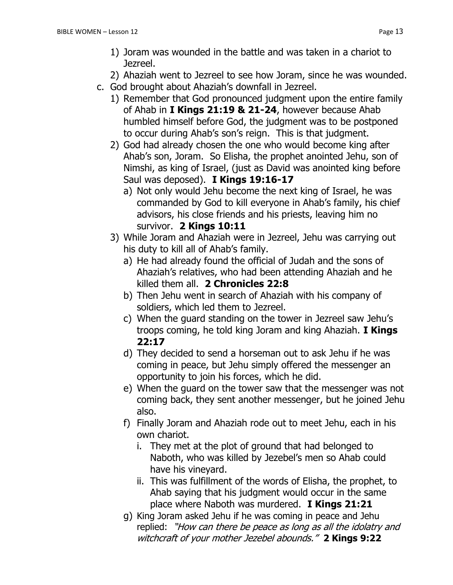1) Joram was wounded in the battle and was taken in a chariot to Jezreel.

2) Ahaziah went to Jezreel to see how Joram, since he was wounded.

- c. God brought about Ahaziah's downfall in Jezreel.
	- 1) Remember that God pronounced judgment upon the entire family of Ahab in **I Kings 21:19 & 21-24**, however because Ahab humbled himself before God, the judgment was to be postponed to occur during Ahab's son's reign. This is that judgment.
	- 2) God had already chosen the one who would become king after Ahab's son, Joram. So Elisha, the prophet anointed Jehu, son of Nimshi, as king of Israel, (just as David was anointed king before Saul was deposed). **I Kings 19:16-17**
		- a) Not only would Jehu become the next king of Israel, he was commanded by God to kill everyone in Ahab's family, his chief advisors, his close friends and his priests, leaving him no survivor. **2 Kings 10:11**
	- 3) While Joram and Ahaziah were in Jezreel, Jehu was carrying out his duty to kill all of Ahab's family.
		- a) He had already found the official of Judah and the sons of Ahaziah's relatives, who had been attending Ahaziah and he killed them all. **2 Chronicles 22:8**
		- b) Then Jehu went in search of Ahaziah with his company of soldiers, which led them to Jezreel.
		- c) When the guard standing on the tower in Jezreel saw Jehu's troops coming, he told king Joram and king Ahaziah. **I Kings 22:17**
		- d) They decided to send a horseman out to ask Jehu if he was coming in peace, but Jehu simply offered the messenger an opportunity to join his forces, which he did.
		- e) When the guard on the tower saw that the messenger was not coming back, they sent another messenger, but he joined Jehu also.
		- f) Finally Joram and Ahaziah rode out to meet Jehu, each in his own chariot.
			- i. They met at the plot of ground that had belonged to Naboth, who was killed by Jezebel's men so Ahab could have his vineyard.
			- ii. This was fulfillment of the words of Elisha, the prophet, to Ahab saying that his judgment would occur in the same place where Naboth was murdered. **I Kings 21:21**
		- g) King Joram asked Jehu if he was coming in peace and Jehu replied: "How can there be peace as long as all the idolatry and witchcraft of your mother Jezebel abounds." **2 Kings 9:22**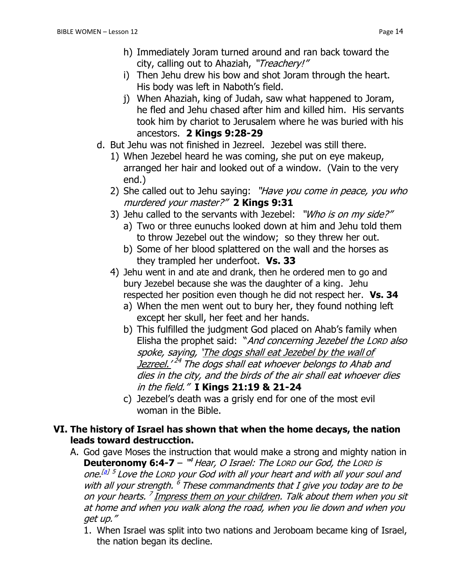- h) Immediately Joram turned around and ran back toward the city, calling out to Ahaziah, "Treachery!"
- i) Then Jehu drew his bow and shot Joram through the heart. His body was left in Naboth's field.
- j) When Ahaziah, king of Judah, saw what happened to Joram, he fled and Jehu chased after him and killed him. His servants took him by chariot to Jerusalem where he was buried with his ancestors. **2 Kings 9:28-29**
- d. But Jehu was not finished in Jezreel. Jezebel was still there.
	- 1) When Jezebel heard he was coming, she put on eye makeup, arranged her hair and looked out of a window. (Vain to the very end.)
	- 2) She called out to Jehu saying: "Have you come in peace, you who murdered your master?" **2 Kings 9:31**
	- 3) Jehu called to the servants with Jezebel: "Who is on my side?"
		- a) Two or three eunuchs looked down at him and Jehu told them to throw Jezebel out the window; so they threw her out.
		- b) Some of her blood splattered on the wall and the horses as they trampled her underfoot. **Vs. 33**
	- 4) Jehu went in and ate and drank, then he ordered men to go and bury Jezebel because she was the daughter of a king. Jehu respected her position even though he did not respect her. **Vs. 34**
		- a) When the men went out to bury her, they found nothing left except her skull, her feet and her hands.
		- b) This fulfilled the judgment God placed on Ahab's family when Elisha the prophet said: "And concerning Jezebel the LORD also spoke, saying, 'The dogs shall eat Jezebel by the wall of <u>Jezreel.'</u> <sup>24</sup> The dogs shall eat whoever belongs to Ahab and dies in the city, and the birds of the air shall eat whoever dies in the field." **I Kings 21:19 & 21-24**
		- c) Jezebel's death was a grisly end for one of the most evil woman in the Bible.

#### **VI. The history of Israel has shown that when the home decays, the nation leads toward destrucction.**

- A. God gave Moses the instruction that would make a strong and mighty nation in **Deuteronomy 6:4-7** – "<sup>4</sup> Hear, O Israel: The Lorp our God, the Lorp is one.<sup>[\[a\]](https://www.biblegateway.com/passage/?search=Deuteronomy+6&version=NIV#fen-NIV-5091a) 5</sup> Love the Lorp your God with all your heart and with all your soul and with all your strength.  $^6$  These commandments that I give you today are to be on your hearts. <sup>7</sup> Impress them on your children. Talk about them when you sit at home and when you walk along the road, when you lie down and when you get up."
	- 1. When Israel was split into two nations and Jeroboam became king of Israel, the nation began its decline.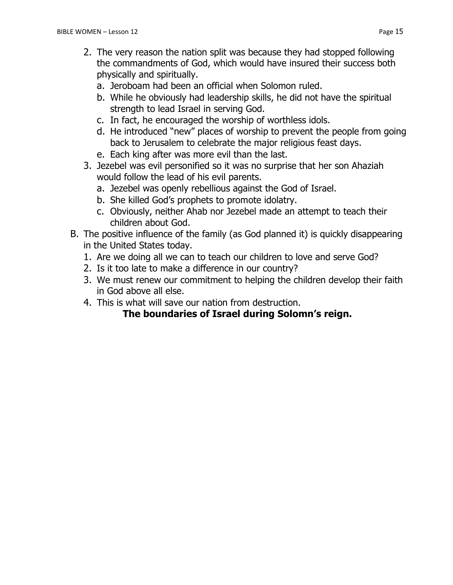- 2. The very reason the nation split was because they had stopped following the commandments of God, which would have insured their success both physically and spiritually.
	- a. Jeroboam had been an official when Solomon ruled.
	- b. While he obviously had leadership skills, he did not have the spiritual strength to lead Israel in serving God.
	- c. In fact, he encouraged the worship of worthless idols.
	- d. He introduced "new" places of worship to prevent the people from going back to Jerusalem to celebrate the major religious feast days.
	- e. Each king after was more evil than the last.
- 3. Jezebel was evil personified so it was no surprise that her son Ahaziah would follow the lead of his evil parents.
	- a. Jezebel was openly rebellious against the God of Israel.
	- b. She killed God's prophets to promote idolatry.
	- c. Obviously, neither Ahab nor Jezebel made an attempt to teach their children about God.
- B. The positive influence of the family (as God planned it) is quickly disappearing in the United States today.
	- 1. Are we doing all we can to teach our children to love and serve God?
	- 2. Is it too late to make a difference in our country?
	- 3. We must renew our commitment to helping the children develop their faith in God above all else.
	- 4. This is what will save our nation from destruction.

## **The boundaries of Israel during Solomn's reign.**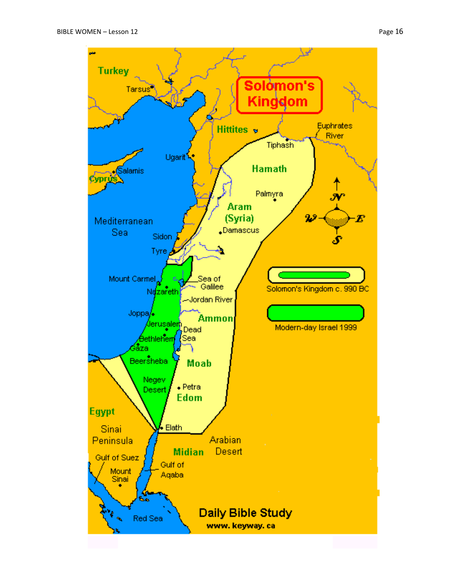